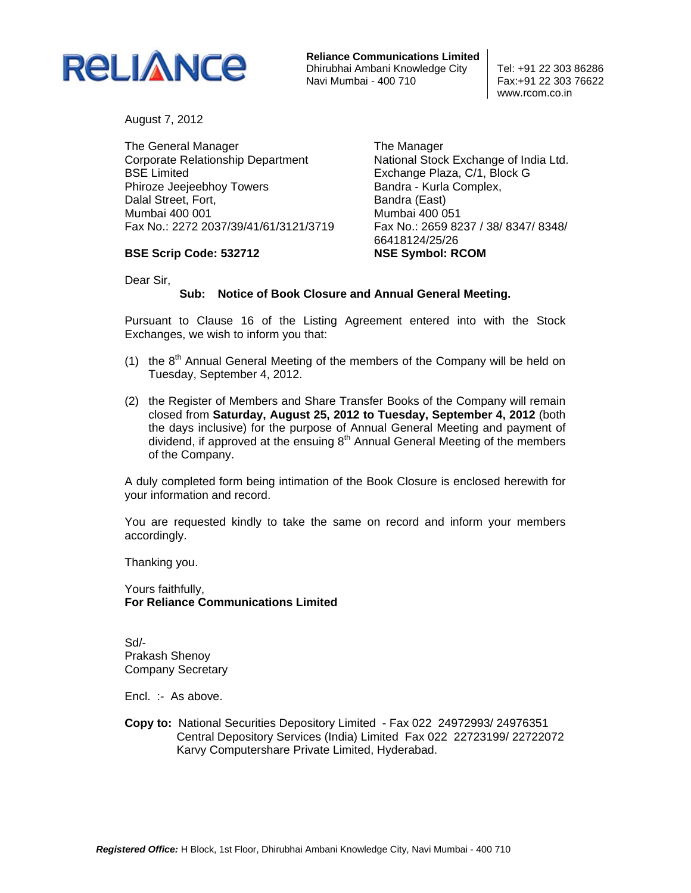

**Reliance Communications Limited** Dhirubhai Ambani Knowledge City<br>Navi Mumbai - 400 710 <br>Fax: +91 22 303 76622 Navi Mumbai - 400 710

www.rcom.co.in

August 7, 2012

The General Manager Corporate Relationship Department BSE Limited Phiroze Jeejeebhoy Towers Dalal Street, Fort, Mumbai 400 001 Fax No.: 2272 2037/39/41/61/3121/3719 The Manager National Stock Exchange of India Ltd. Exchange Plaza, C/1, Block G Bandra - Kurla Complex, Bandra (East) Mumbai 400 051 Fax No.: 2659 8237 / 38/ 8347/ 8348/ 66418124/25/26 **NSE Symbol: RCOM** 

Dear Sir,

**BSE Scrip Code: 532712** 

## **Sub: Notice of Book Closure and Annual General Meeting.**

Pursuant to Clause 16 of the Listing Agreement entered into with the Stock Exchanges, we wish to inform you that:

- (1) the  $8<sup>th</sup>$  Annual General Meeting of the members of the Company will be held on Tuesday, September 4, 2012.
- (2) the Register of Members and Share Transfer Books of the Company will remain closed from **Saturday, August 25, 2012 to Tuesday, September 4, 2012** (both the days inclusive) for the purpose of Annual General Meeting and payment of dividend, if approved at the ensuing  $8<sup>th</sup>$  Annual General Meeting of the members of the Company.

A duly completed form being intimation of the Book Closure is enclosed herewith for your information and record.

You are requested kindly to take the same on record and inform your members accordingly.

Thanking you.

Yours faithfully, **For Reliance Communications Limited** 

Sd/- Prakash Shenoy Company Secretary

Encl. :- As above.

**Copy to:** National Securities Depository Limited - Fax 022 24972993/ 24976351 Central Depository Services (India) Limited Fax 022 22723199/ 22722072 Karvy Computershare Private Limited, Hyderabad.